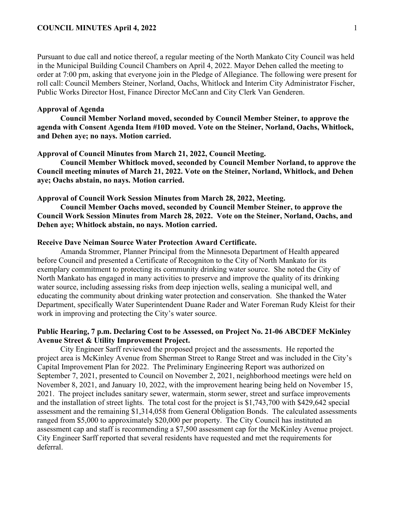Pursuant to due call and notice thereof, a regular meeting of the North Mankato City Council was held in the Municipal Building Council Chambers on April 4, 2022. Mayor Dehen called the meeting to order at 7:00 pm, asking that everyone join in the Pledge of Allegiance. The following were present for roll call: Council Members Steiner, Norland, Oachs, Whitlock and Interim City Administrator Fischer, Public Works Director Host, Finance Director McCann and City Clerk Van Genderen.

# **Approval of Agenda**

**Council Member Norland moved, seconded by Council Member Steiner, to approve the agenda with Consent Agenda Item #10D moved. Vote on the Steiner, Norland, Oachs, Whitlock, and Dehen aye; no nays. Motion carried.** 

## **Approval of Council Minutes from March 21, 2022, Council Meeting.**

**Council Member Whitlock moved, seconded by Council Member Norland, to approve the Council meeting minutes of March 21, 2022. Vote on the Steiner, Norland, Whitlock, and Dehen aye; Oachs abstain, no nays. Motion carried.** 

## **Approval of Council Work Session Minutes from March 28, 2022, Meeting.**

**Council Member Oachs moved, seconded by Council Member Steiner, to approve the Council Work Session Minutes from March 28, 2022. Vote on the Steiner, Norland, Oachs, and Dehen aye; Whitlock abstain, no nays. Motion carried.** 

# **Receive Dave Neiman Source Water Protection Award Certificate.**

Amanda Strommer, Planner Principal from the Minnesota Department of Health appeared before Council and presented a Certificate of Recogniton to the City of North Mankato for its exemplary commitment to protecting its community drinking water source. She noted the City of North Mankato has engaged in many activities to preserve and improve the quality of its drinking water source, including assessing risks from deep injection wells, sealing a municipal well, and educating the community about drinking water protection and conservation. She thanked the Water Department, specifically Water Superintendent Duane Rader and Water Foreman Rudy Kleist for their work in improving and protecting the City's water source.

# **Public Hearing, 7 p.m. Declaring Cost to be Assessed, on Project No. 21-06 ABCDEF McKinley Avenue Street & Utility Improvement Project.**

City Engineer Sarff reviewed the proposed project and the assessments. He reported the project area is McKinley Avenue from Sherman Street to Range Street and was included in the City's Capital Improvement Plan for 2022. The Preliminary Engineering Report was authorized on September 7, 2021, presented to Council on November 2, 2021, neighborhood meetings were held on November 8, 2021, and January 10, 2022, with the improvement hearing being held on November 15, 2021. The project includes sanitary sewer, watermain, storm sewer, street and surface improvements and the installation of street lights. The total cost for the project is \$1,743,700 with \$429,642 special assessment and the remaining \$1,314,058 from General Obligation Bonds. The calculated assessments ranged from \$5,000 to approximately \$20,000 per property. The City Council has instituted an assessment cap and staff is recommending a \$7,500 assessment cap for the McKinley Avenue project. City Engineer Sarff reported that several residents have requested and met the requirements for deferral.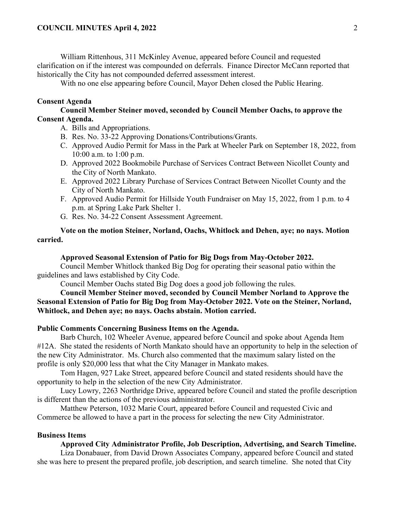William Rittenhous, 311 McKinley Avenue, appeared before Council and requested clarification on if the interest was compounded on deferrals. Finance Director McCann reported that historically the City has not compounded deferred assessment interest.

With no one else appearing before Council, Mayor Dehen closed the Public Hearing.

#### **Consent Agenda**

**Council Member Steiner moved, seconded by Council Member Oachs, to approve the Consent Agenda.**

- A. Bills and Appropriations.
- B. Res. No. 33-22 Approving Donations/Contributions/Grants.
- C. Approved Audio Permit for Mass in the Park at Wheeler Park on September 18, 2022, from 10:00 a.m. to 1:00 p.m.
- D. Approved 2022 Bookmobile Purchase of Services Contract Between Nicollet County and the City of North Mankato.
- E. Approved 2022 Library Purchase of Services Contract Between Nicollet County and the City of North Mankato.
- F. Approved Audio Permit for Hillside Youth Fundraiser on May 15, 2022, from 1 p.m. to 4 p.m. at Spring Lake Park Shelter 1.
- G. Res. No. 34-22 Consent Assessment Agreement.

# **Vote on the motion Steiner, Norland, Oachs, Whitlock and Dehen, aye; no nays. Motion carried.**

### **Approved Seasonal Extension of Patio for Big Dogs from May-October 2022.**

Council Member Whitlock thanked Big Dog for operating their seasonal patio within the guidelines and laws established by City Code.

Council Member Oachs stated Big Dog does a good job following the rules.

**Council Member Steiner moved, seconded by Council Member Norland to Approve the Seasonal Extension of Patio for Big Dog from May-October 2022. Vote on the Steiner, Norland, Whitlock, and Dehen aye; no nays. Oachs abstain. Motion carried.** 

#### **Public Comments Concerning Business Items on the Agenda.**

Barb Church, 102 Wheeler Avenue, appeared before Council and spoke about Agenda Item #12A. She stated the residents of North Mankato should have an opportunity to help in the selection of the new City Administrator. Ms. Church also commented that the maximum salary listed on the profile is only \$20,000 less that what the City Manager in Mankato makes.

Tom Hagen, 927 Lake Street, appeared before Council and stated residents should have the opportunity to help in the selection of the new City Administrator.

Lucy Lowry, 2263 Northridge Drive, appeared before Council and stated the profile description is different than the actions of the previous administrator.

Matthew Peterson, 1032 Marie Court, appeared before Council and requested Civic and Commerce be allowed to have a part in the process for selecting the new City Administrator.

## **Business Items**

### **Approved City Administrator Profile, Job Description, Advertising, and Search Timeline.**

Liza Donabauer, from David Drown Associates Company, appeared before Council and stated she was here to present the prepared profile, job description, and search timeline. She noted that City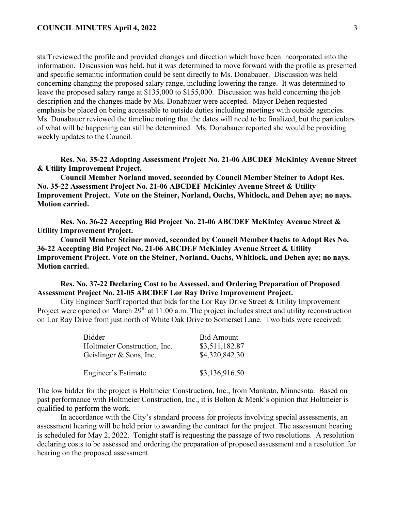staff reviewed the profile and provided changes and direction which have been incorporated into the information. Discussion was held, but it was determined to move forward with the profile as presented and specific semantic information could be sent directly to Ms. Donabauer. Discussion was held concerning changing the proposed salary range, including lowering the range. It was determined to leave the proposed salary range at \$135,000 to \$155,000. Discussion was held concerning the job description and the changes made by Ms. Donabauer were accepted. Mayor Dehen requested emphasis be placed on being accessable to outside duties including meetings with outside agencies. Ms. Donabauer reviewed the timeline noting that the dates will need to be finalized, but the particulars of what will be happening can still be determined. Ms. Donabauer reported she would be providing weekly updates to the Council.

**Res. No. 35-22 Adopting Assessment Project No. 21-06 ABCDEF McKinley Avenue Street & Utility Improvement Project.**

**Council Member Norland moved, seconded by Council Member Steiner to Adopt Res. No. 35-22 Assessment Project No. 21-06 ABCDEF McKinley Avenue Street & Utility Improvement Project. Vote on the Steiner, Norland, Oachs, Whitlock, and Dehen aye; no nays. Motion carried.** 

**Res. No. 36-22 Accepting Bid Project No. 21-06 ABCDEF McKinley Avenue Street & Utility Improvement Project.**

**Council Member Steiner moved, seconded by Council Member Oachs to Adopt Res No. 36-22 Accepting Bid Project No. 21-06 ABCDEF McKinley Avenue Street & Utility Improvement Project. Vote on the Steiner, Norland, Oachs, Whitlock, and Dehen aye; no nays. Motion carried.** 

**Res. No. 37-22 Declaring Cost to be Assessed, and Ordering Preparation of Proposed Assessment Project No. 21-05 ABCDEF Lor Ray Drive Improvement Project.**

City Engineer Sarff reported that bids for the Lor Ray Drive Street & Utility Improvement Project were opened on March 29<sup>th</sup> at 11:00 a.m. The project includes street and utility reconstruction on Lor Ray Drive from just north of White Oak Drive to Somerset Lane. Two bids were received:

| Bidder                       | <b>Bid Amount</b> |
|------------------------------|-------------------|
| Holtmeier Construction, Inc. | \$3,511,182.87    |
| Geislinger & Sons, Inc.      | \$4,320,842.30    |
|                              |                   |
| <b>Engineer's Estimate</b>   | \$3,136,916.50    |

The low bidder for the project is Holtmeier Construction, Inc., from Mankato, Minnesota. Based on past performance with Holtmeier Construction, Inc., it is Bolton & Menk's opinion that Holtmeier is qualified to perform the work.

In accordance with the City's standard process for projects involving special assessments, an assessment hearing will be held prior to awarding the contract for the project. The assessment hearing is scheduled for May 2, 2022. Tonight staff is requesting the passage of two resolutions. A resolution declaring costs to be assessed and ordering the preparation of proposed assessment and a resolution for hearing on the proposed assessment.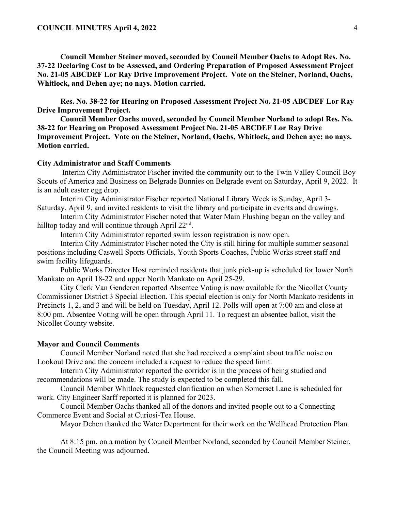**Council Member Steiner moved, seconded by Council Member Oachs to Adopt Res. No. 37-22 Declaring Cost to be Assessed, and Ordering Preparation of Proposed Assessment Project No. 21-05 ABCDEF Lor Ray Drive Improvement Project. Vote on the Steiner, Norland, Oachs, Whitlock, and Dehen aye; no nays. Motion carried.** 

**Res. No. 38-22 for Hearing on Proposed Assessment Project No. 21-05 ABCDEF Lor Ray Drive Improvement Project.**

**Council Member Oachs moved, seconded by Council Member Norland to adopt Res. No. 38-22 for Hearing on Proposed Assessment Project No. 21-05 ABCDEF Lor Ray Drive Improvement Project. Vote on the Steiner, Norland, Oachs, Whitlock, and Dehen aye; no nays. Motion carried.** 

### **City Administrator and Staff Comments**

Interim City Administrator Fischer invited the community out to the Twin Valley Council Boy Scouts of America and Business on Belgrade Bunnies on Belgrade event on Saturday, April 9, 2022. It is an adult easter egg drop.

Interim City Administrator Fischer reported National Library Week is Sunday, April 3- Saturday, April 9, and invited residents to visit the library and participate in events and drawings.

Interim City Administrator Fischer noted that Water Main Flushing began on the valley and hilltop today and will continue through April  $22<sup>nd</sup>$ .

Interim City Administrator reported swim lesson registration is now open.

Interim City Administrator Fischer noted the City is still hiring for multiple summer seasonal positions including Caswell Sports Officials, Youth Sports Coaches, Public Works street staff and swim facility lifeguards.

Public Works Director Host reminded residents that junk pick-up is scheduled for lower North Mankato on April 18-22 and upper North Mankato on April 25-29.

City Clerk Van Genderen reported Absentee Voting is now available for the Nicollet County Commissioner District 3 Special Election. This special election is only for North Mankato residents in Precincts 1, 2, and 3 and will be held on Tuesday, April 12. Polls will open at 7:00 am and close at 8:00 pm. Absentee Voting will be open through April 11. To request an absentee ballot, visit the Nicollet County website.

#### **Mayor and Council Comments**

Council Member Norland noted that she had received a complaint about traffic noise on Lookout Drive and the concern included a request to reduce the speed limit.

Interim City Administrator reported the corridor is in the process of being studied and recommendations will be made. The study is expected to be completed this fall.

Council Member Whitlock requested clarification on when Somerset Lane is scheduled for work. City Engineer Sarff reported it is planned for 2023.

Council Member Oachs thanked all of the donors and invited people out to a Connecting Commerce Event and Social at Curiosi-Tea House.

Mayor Dehen thanked the Water Department for their work on the Wellhead Protection Plan.

At 8:15 pm, on a motion by Council Member Norland, seconded by Council Member Steiner, the Council Meeting was adjourned.